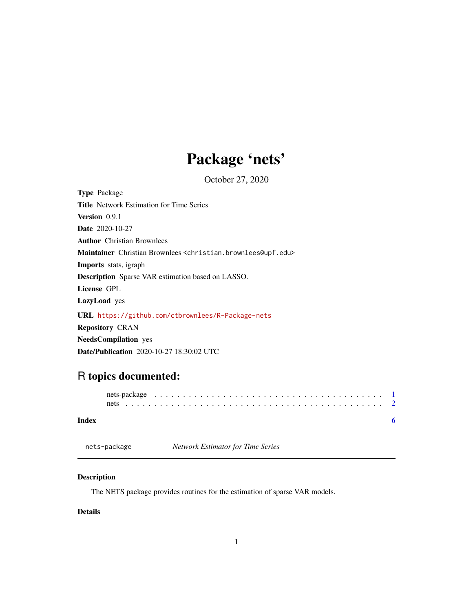## Package 'nets'

October 27, 2020

<span id="page-0-0"></span>Type Package Title Network Estimation for Time Series Version 0.9.1 Date 2020-10-27 Author Christian Brownlees Maintainer Christian Brownlees <christian.brownlees@upf.edu> Imports stats, igraph Description Sparse VAR estimation based on LASSO. License GPL LazyLoad yes URL <https://github.com/ctbrownlees/R-Package-nets> Repository CRAN NeedsCompilation yes

Date/Publication 2020-10-27 18:30:02 UTC

### R topics documented:

| Index |  |  |  |  |  |  |  |  |  |  |  |  |  |  |  |  |  |  |
|-------|--|--|--|--|--|--|--|--|--|--|--|--|--|--|--|--|--|--|

nets-package *Network Estimator for Time Series*

#### Description

The NETS package provides routines for the estimation of sparse VAR models.

#### Details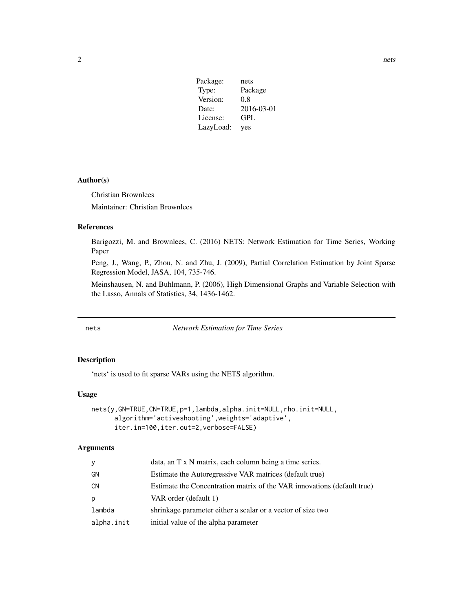<span id="page-1-0"></span>

| Package:  | nets       |
|-----------|------------|
| Type:     | Package    |
| Version:  | 0.8        |
| Date:     | 2016-03-01 |
| License:  | <b>GPL</b> |
| LazyLoad: | yes        |

#### Author(s)

Christian Brownlees

Maintainer: Christian Brownlees

#### References

Barigozzi, M. and Brownlees, C. (2016) NETS: Network Estimation for Time Series, Working Paper

Peng, J., Wang, P., Zhou, N. and Zhu, J. (2009), Partial Correlation Estimation by Joint Sparse Regression Model, JASA, 104, 735-746.

Meinshausen, N. and Buhlmann, P. (2006), High Dimensional Graphs and Variable Selection with the Lasso, Annals of Statistics, 34, 1436-1462.

nets *Network Estimation for Time Series*

#### Description

'nets' is used to fit sparse VARs using the NETS algorithm.

#### Usage

```
nets(y,GN=TRUE,CN=TRUE,p=1,lambda,alpha.init=NULL,rho.init=NULL,
     algorithm='activeshooting',weights='adaptive',
     iter.in=100,iter.out=2,verbose=FALSE)
```
#### Arguments

| У          | data, an T x N matrix, each column being a time series.                 |
|------------|-------------------------------------------------------------------------|
| GΝ         | Estimate the Autoregressive VAR matrices (default true)                 |
| CN         | Estimate the Concentration matrix of the VAR innovations (default true) |
| р          | VAR order (default 1)                                                   |
| lambda     | shrinkage parameter either a scalar or a vector of size two             |
| alpha.init | initial value of the alpha parameter                                    |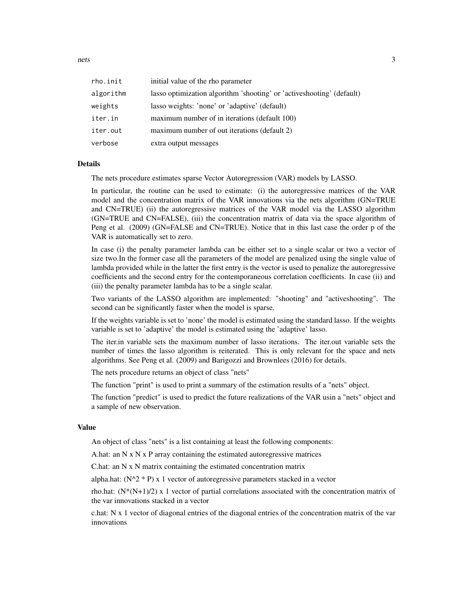nets 3

| rho.init  | initial value of the rho parameter                                     |
|-----------|------------------------------------------------------------------------|
| algorithm | lasso optimization algorithm 'shooting' or 'active shooting' (default) |
| weights   | lasso weights: 'none' or 'adaptive' (default)                          |
| iter.in   | maximum number of in iterations (default 100)                          |
| iter.out  | maximum number of out iterations (default 2)                           |
| verbose   | extra output messages                                                  |

#### **Details**

The nets procedure estimates sparse Vector Autoregression (VAR) models by LASSO.

In particular, the routine can be used to estimate: (i) the autoregressive matrices of the VAR model and the concentration matrix of the VAR innovations via the nets algorithm (GN=TRUE and CN=TRUE) (ii) the autoregressive matrices of the VAR model via the LASSO algorithm (GN=TRUE and CN=FALSE), (iii) the concentration matrix of data via the space algorithm of Peng et al. (2009) (GN=FALSE and CN=TRUE). Notice that in this last case the order p of the VAR is automatically set to zero.

In case (i) the penalty parameter lambda can be either set to a single scalar or two a vector of size two.In the former case all the parameters of the model are penalized using the single value of lambda provided while in the latter the first entry is the vector is used to penalize the autoregressive coefficients and the second entry for the contemporaneous correlation coefficients. In case (ii) and (iii) the penalty parameter lambda has to be a single scalar.

Two variants of the LASSO algorithm are implemented: "shooting" and "activeshooting". The second can be significantly faster when the model is sparse.

If the weights variable is set to 'none' the model is estimated using the standard lasso. If the weights variable is set to 'adaptive' the model is estimated using the 'adaptive' lasso.

The iter.in variable sets the maximum number of lasso iterations. The iter.out variable sets the number of times the lasso algorithm is reiterated. This is only relevant for the space and nets algorithms. See Peng et al. (2009) and Barigozzi and Brownlees (2016) for details.

The nets procedure returns an object of class "nets"

The function "print" is used to print a summary of the estimation results of a "nets" object.

The function "predict" is used to predict the future realizations of the VAR usin a "nets" object and a sample of new observation.

#### Value

An object of class "nets" is a list containing at least the following components:

A.hat: an N x N x P array containing the estimated autoregressive matrices

C.hat: an N x N matrix containing the estimated concentration matrix

alpha.hat:  $(N^2 * P)$  x 1 vector of autoregressive parameters stacked in a vector

rho.hat:  $(N*(N+1)/2)$  x 1 vector of partial correlations associated with the concentration matrix of the var innovations stacked in a vector

c.hat: N x 1 vector of diagonal entries of the diagonal entries of the concentration matrix of the var innovations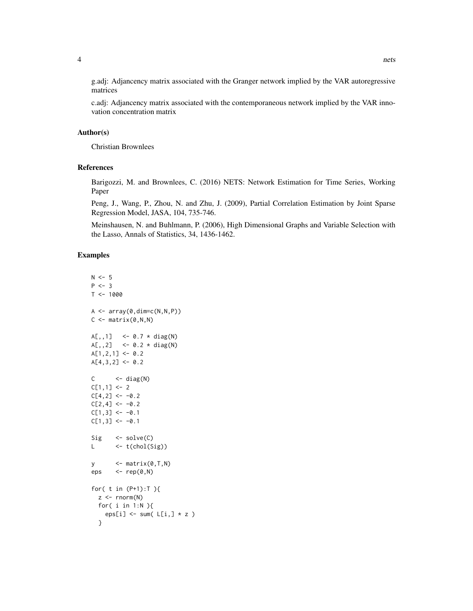g.adj: Adjancency matrix associated with the Granger network implied by the VAR autoregressive matrices

c.adj: Adjancency matrix associated with the contemporaneous network implied by the VAR innovation concentration matrix

#### Author(s)

Christian Brownlees

#### References

Barigozzi, M. and Brownlees, C. (2016) NETS: Network Estimation for Time Series, Working Paper

Peng, J., Wang, P., Zhou, N. and Zhu, J. (2009), Partial Correlation Estimation by Joint Sparse Regression Model, JASA, 104, 735-746.

Meinshausen, N. and Buhlmann, P. (2006), High Dimensional Graphs and Variable Selection with the Lasso, Annals of Statistics, 34, 1436-1462.

#### Examples

```
N < -5P < - 3T < - 1000A \leftarrow array(\emptyset, dim=c(N,N,P))C \leq - matrix(0, N, N)A[,, 1] <- 0.7 * diag(N)
A[, 2] <- 0.2 * diag(N)
A[1,2,1] <- 0.2
A[4,3,2] <- 0.2
C \leftarrow diag(N)C[1,1] <- 2
C[4,2] <- -0.2
C[2, 4] <- -0.2
C[1,3] <- -0.1
C[1,3] <- -0.1
Sig \le -solve(C)L \leftarrow t(chol(Sig))
y \leftarrow \text{matrix}(0, T, N)eps \leq - rep(0,N)for( t in (P+1):T ){
  z <- rnorm(N)for( i in 1:N ){
    eps[i] \le sum( L[i, ] * z )
  }
```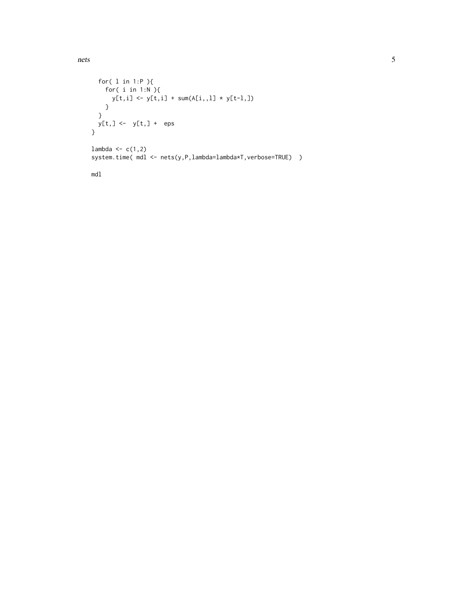```
for( l in 1:P ){
   for( i in 1:N ){
    y[t,i] <- y[t,i] + sum(A[i,,1] * y[t-1,1)}
  }
  y[t,] <- y[t,] + eps
}
lambda \leftarrow c(1,2)
system.time( mdl <- nets(y,P,lambda=lambda*T,verbose=TRUE) )
```
mdl